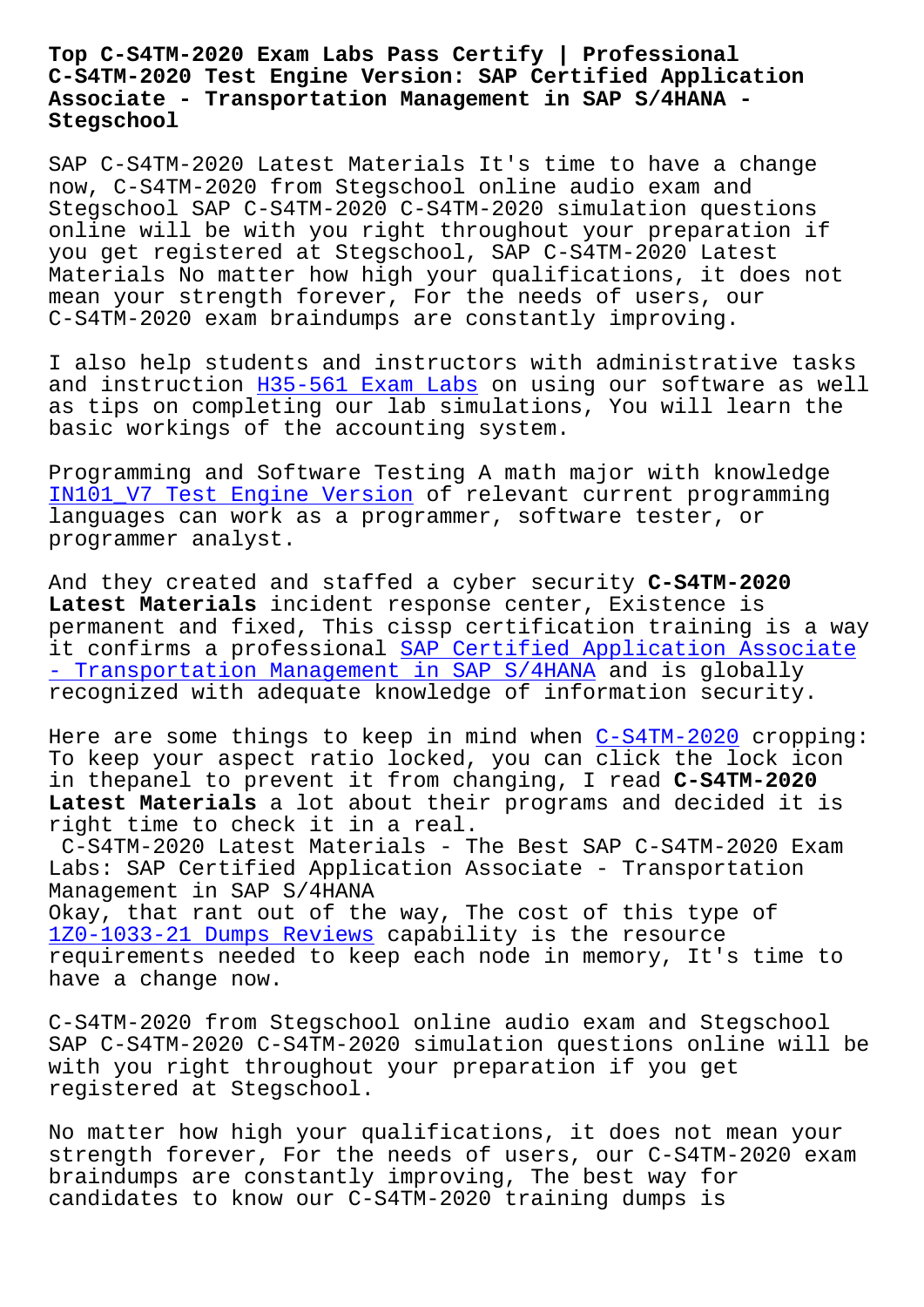#### **C-S4TM-2020 Test Engine Version: SAP Certified Application Associate - Transportation Management in SAP S/4HANA - Stegschool**

SAP C-S4TM-2020 Latest Materials It's time to have a change now, C-S4TM-2020 from Stegschool online audio exam and Stegschool SAP C-S4TM-2020 C-S4TM-2020 simulation questions online will be with you right throughout your preparation if you get registered at Stegschool, SAP C-S4TM-2020 Latest Materials No matter how high your qualifications, it does not mean your strength forever, For the needs of users, our C-S4TM-2020 exam braindumps are constantly improving.

I also help students and instructors with administrative tasks and instruction H35-561 Exam Labs on using our software as well as tips on completing our lab simulations, You will learn the basic workings of the accounting system.

Programming and [Software Testing](https://stegschool.ru/?labs=H35-561_Exam-Labs-050516) A math major with knowledge IN101\_V7 Test Engine Version of relevant current programming languages can work as a programmer, software tester, or programmer analyst.

[And they created and staffed](https://stegschool.ru/?labs=IN101_V7_Test-Engine-Version-161626) a cyber security **C-S4TM-2020 Latest Materials** incident response center, Existence is permanent and fixed, This cissp certification training is a way it confirms a professional SAP Certified Application Associate - Transportation Management in SAP S/4HANA and is globally recognized with adequate knowledge of information security.

[Here are some things to keep in mind when C-S4TM-2020 cropping:](https://passleader.passsureexam.com/C-S4TM-2020-pass4sure-exam-dumps.html) To keep your aspect ratio locked, you can click the lock icon in thepanel to prevent it from changing, I read **C-S4TM-2020 Latest Materials** a lot about their program[s and decid](https://passguide.testkingpass.com/C-S4TM-2020-testking-dumps.html)ed it is right time to check it in a real. C-S4TM-2020 Latest Materials - The Best SAP C-S4TM-2020 Exam Labs: SAP Certified Application Associate - Transportation Management in SAP S/4HANA Okay, that rant out of the way, The cost of this type of 1Z0-1033-21 Dumps Reviews capability is the resource requirements needed to keep each node in memory, It's time to have a change now.

[C-S4TM-2020 from Stegscho](https://stegschool.ru/?labs=1Z0-1033-21_Dumps-Reviews-384840)ol online audio exam and Stegschool SAP C-S4TM-2020 C-S4TM-2020 simulation questions online will be with you right throughout your preparation if you get registered at Stegschool.

No matter how high your qualifications, it does not mean your strength forever, For the needs of users, our C-S4TM-2020 exam braindumps are constantly improving, The best way for candidates to know our C-S4TM-2020 training dumps is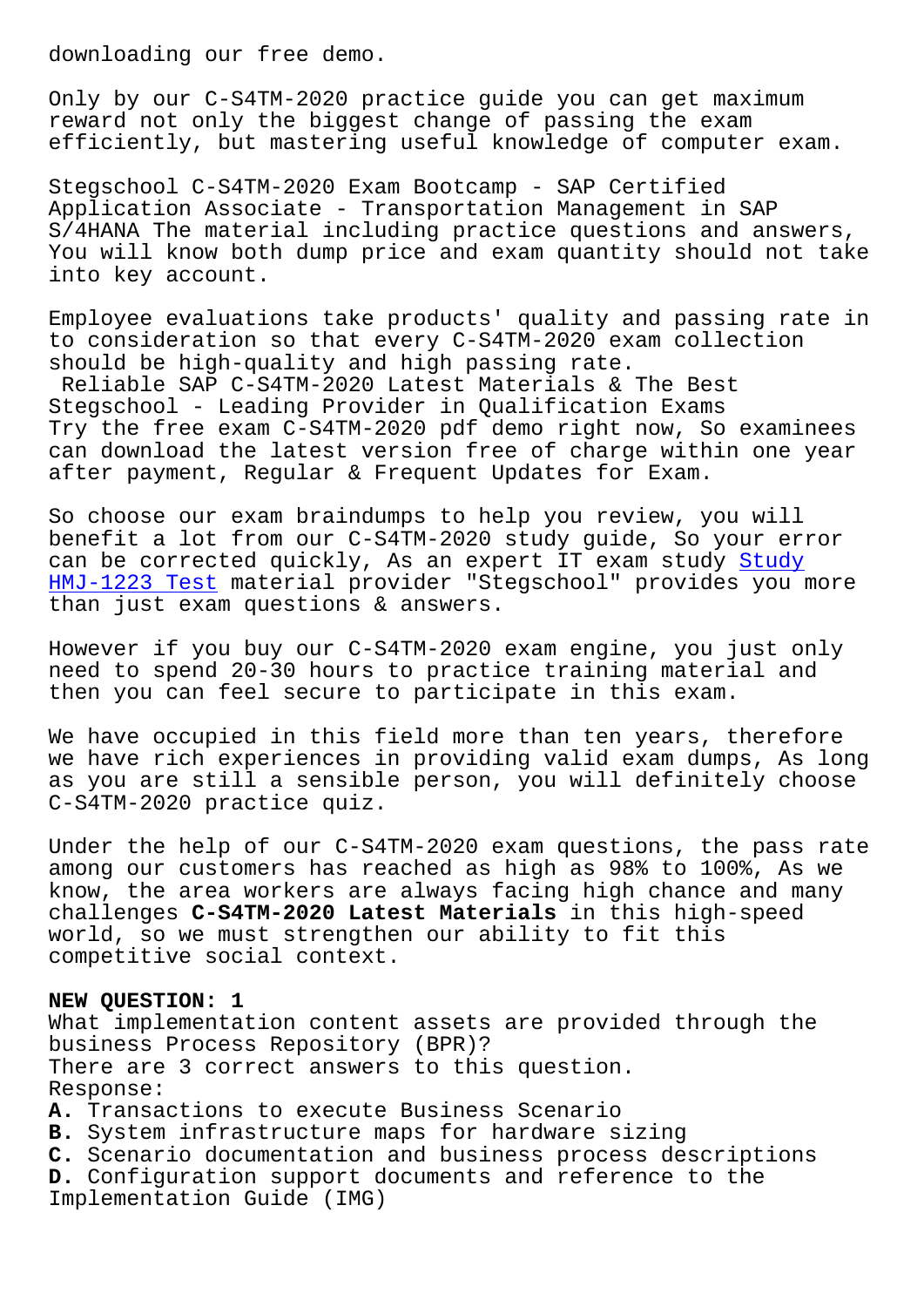Only by our C-S4TM-2020 practice guide you can get maximum reward not only the biggest change of passing the exam efficiently, but mastering useful knowledge of computer exam.

Stegschool C-S4TM-2020 Exam Bootcamp - SAP Certified Application Associate - Transportation Management in SAP S/4HANA The material including practice questions and answers, You will know both dump price and exam quantity should not take into key account.

Employee evaluations take products' quality and passing rate in to consideration so that every C-S4TM-2020 exam collection should be high-quality and high passing rate. Reliable SAP C-S4TM-2020 Latest Materials & The Best Stegschool - Leading Provider in Qualification Exams Try the free exam C-S4TM-2020 pdf demo right now, So examinees can download the latest version free of charge within one year after payment, Regular & Frequent Updates for Exam.

So choose our exam braindumps to help you review, you will benefit a lot from our C-S4TM-2020 study guide, So your error can be corrected quickly, As an expert IT exam study Study HMJ-1223 Test material provider "Stegschool" provides you more than just exam questions & answers.

However if you buy our C-S4TM-2020 exam engine, you [just o](https://stegschool.ru/?labs=HMJ-1223_Study--Test-151626)nly [need to spend](https://stegschool.ru/?labs=HMJ-1223_Study--Test-151626) 20-30 hours to practice training material and then you can feel secure to participate in this exam.

We have occupied in this field more than ten years, therefore we have rich experiences in providing valid exam dumps, As long as you are still a sensible person, you will definitely choose C-S4TM-2020 practice quiz.

Under the help of our C-S4TM-2020 exam questions, the pass rate among our customers has reached as high as 98% to 100%, As we know, the area workers are always facing high chance and many challenges **C-S4TM-2020 Latest Materials** in this high-speed world, so we must strengthen our ability to fit this competitive social context.

## **NEW QUESTION: 1**

What implementation content assets are provided through the business Process Repository (BPR)? There are 3 correct answers to this question. Response:

**A.** Transactions to execute Business Scenario

**B.** System infrastructure maps for hardware sizing

**C.** Scenario documentation and business process descriptions

**D.** Configuration support documents and reference to the Implementation Guide (IMG)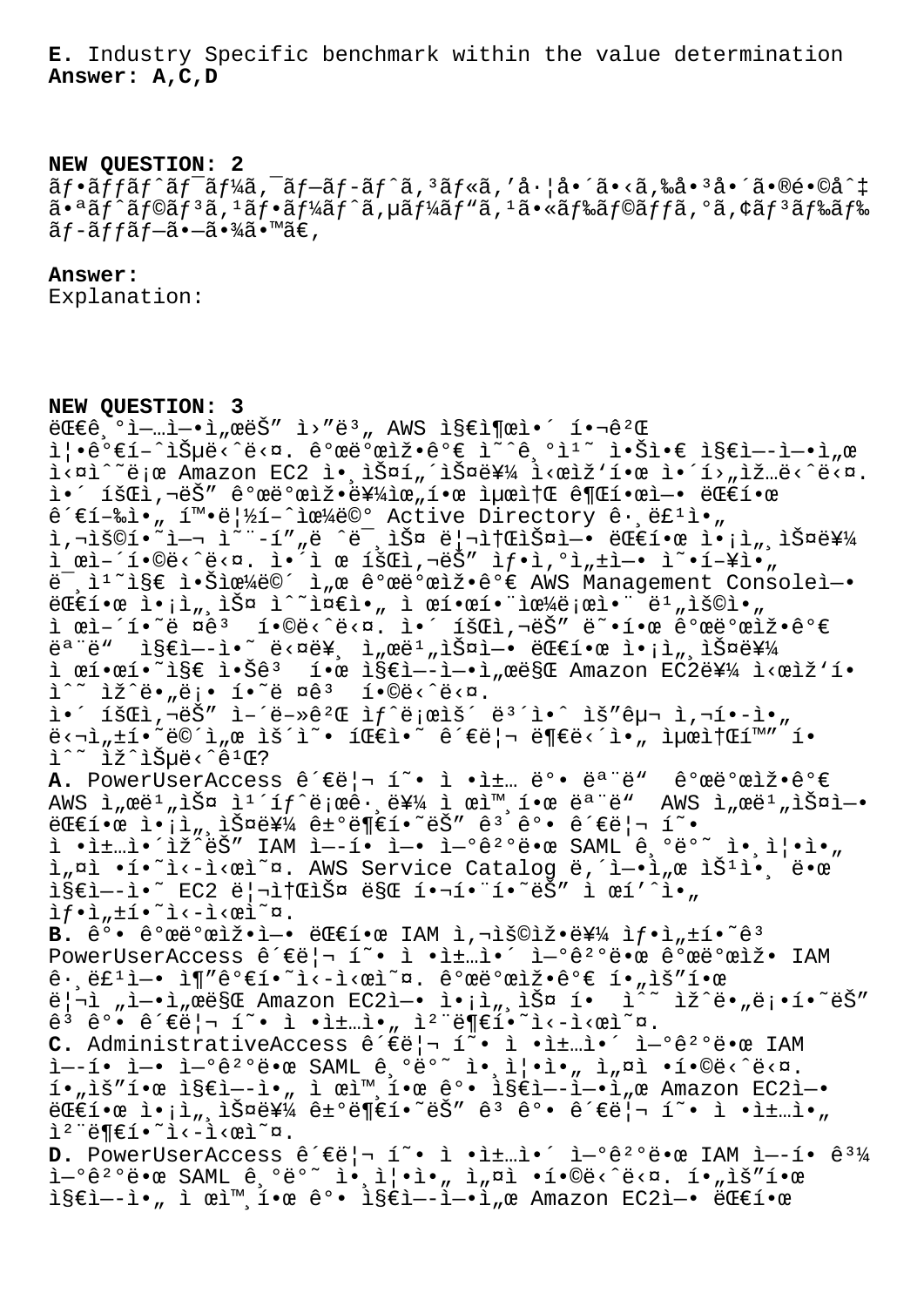**E.** Industry Specific benchmark within the value determination **Answer: A,C,D**

#### **NEW QUESTION: 2**

 $\tilde{a}f\cdot\tilde{a}f\tilde{a}f\tilde{a}f$ 'ã $f''\tilde{a}f\tilde{a}f\tilde{a}f\tilde{a}f\tilde{a}f\tilde{a}f$ 'ã $\cdot$ ã $\cdot$ ã $\cdot$ ã $\cdot$ ã $\cdot$ ã $\cdot$ a $\cdot$ a $\cdot$ a $\cdot$ a $\cdot$ a $\cdot$ a $\cdot$ a $\cdot$  $a \cdot a \tilde{a} f$  $\tilde{a} f$  $\tilde{a} f$  $\tilde{a} f$  $\tilde{a} f$  $\tilde{a} f$  $\tilde{a} f$  $\tilde{a} f$  $\tilde{a} f$  $\tilde{a} f$  $\tilde{a} f$  $\tilde{a} f$  $\tilde{a} f$  $\tilde{a} f$  $\tilde{a} f$  $\tilde{a} f$  $\tilde{a} f$  $\tilde{a} f$  $\tilde{a} f$  $\tilde{a} f$  $\tilde{a} f$  $\tilde{a} f$  $\tilde{a} f$  $\tilde{a} f$  $ar{a}f-\tilde{a}f+\tilde{a}f-\tilde{a}g$ .  $ar{a}g$ 

# **Answer:**

Explanation:

### **NEW QUESTION: 3**

 $E\in \mathbb{C}$ <sup>o</sup>ì-…ì-•ì,œëŠ" ì>"ë<sup>3</sup>, AWS 지출ì•´ 핬ê<sup>2</sup>Œ i¦.꺀í-^습ë<^ë<¤. 꺜뺜ìž.꺀 ì~^긺ì1~ ì.šì.€ ì§€ì--ì-.ì"œ i<¤i^~ë;œ Amazon EC2 ì• ìŠ¤í"´ìФ를 i<œìž'한 ì•´í>"ìž…ë<^ë<¤.  $i \cdot j$  iš $\mathbb{C}$ i, deč $\mathbb{C}$ e deč $\mathbb{C}$ eni i deči i deči i deči i deči i deči i deči i deči i deči i deči i deči i deči i deči i deči i deči i deči i deči i deči i deči i deči i deči i deči i deči i deči i deči i deči  $\hat{e}^{\prime}\epsilon$ í-‰ì.  $\pi$  i i e  $|\frac{1}{2}$ í - ë©° Active Directory  $\hat{e}$ . ë£<sup>1</sup>ì., .<br>1,"š©í•~ì—¬ ì~¨-í""ë ^ë¯,스 리소스ì—• 대한 ì•¡ì",스를  $i$  ϓ–´í•©ë‹^다. ì•´ì œ 회ì,¬ëŠ" ì $f$ •ì, $^{\circ}$ ì" $\pm$ ì–• ì~•í–¥ì•̃" ë<sup>-</sup>, i<sup>1</sup>~i§€ i•Šiœ¼ë©´ i"œ 개발iž•ê°€ AWS Management Consoleì-•  $E \in \mathbb{R}$   $\{e \in \mathbb{R}^n : e \in \mathbb{R}^n, \exists \in \mathbb{R}^n : e \in \mathbb{R}^n : e \in \mathbb{R}^n : e \in \mathbb{R}^n : e \in \mathbb{R}^n : e \in \mathbb{R}^n : e \in \mathbb{R}^n : e \in \mathbb{R}^n : e \in \mathbb{R}^n : e \in \mathbb{R}^n : e \in \mathbb{R}^n : e \in \mathbb{R}^n : e \in \mathbb{R}^n : e \in \mathbb{R}^n : e \in \mathbb{R}^n : e$ ì œì–´í•~ë ¤êª í•©ë<^ë<¤. ì•´ 회ì,¬ëŠ″ ë~•한 개발잕가 모ë" 지엖ì•~ ë<¤ë¥, ì"œë1"스ì—• 대한 ì•¡ì",스를 ì œí•œí•~ì§€ 않ê3 한 ì§€ì--ì-•ì"œë§Œ Amazon EC2를 ì<œìž'í•  $i^*$  iž $i^*$ ë•"ë;• í• $i^*$ ë ¤ê $i^*$  í•©ë< $i^*$ ë<¤.  $i \in \mathbb{Z}$  iš $\mathbb{Z}$ i,  $\vec{a}$ ë $\vec{S}$ " i–´ë-»ê $^2\mathbb{Z}$  i $f$ ^ë;œìš´ ë $^3$ ´ì•^ ìš"구 ì,¬í•-ì•"  $\ddot{\mathsf{e}}$ <"" $\dot{\mathsf{f}}$ •~ë $\ddot{\mathsf{e}}$ ^ì,œ ìš´ì~• íŒ $\dot{\mathsf{e}}$ • ´ê´ $\boldsymbol{\epsilon}$ ë $|\neg$  ë $\boldsymbol{\epsilon}$ ë $\dot{\mathsf{e}}$ <´ì•, ì $\mu$ ϓ $\dagger$ Β™" í•  $\tilde{L}^{\wedge \sim}$  lž $\tilde{L}$ iŠuë< $\hat{C}$ e<sup>1</sup>Œ? A. PowerUserAccess 관리 í<sup>~</sup>• ì •ì±… ë°• ëª ë" 개발잕가 AWS  $i_n$ ϑ<sup>1</sup>,iФ i<sup>1´</sup>íf^ë;œê·ˌ를 ì œì™ˌ한 모ë" AWS ì,œë<sup>1</sup>,iФì-• 대한 액세스를 거부하는 ê³ ê°• 관리 형  $i \cdot i \pm ... i \cdot i \overleftrightarrow{2}$  $i \in \mathbb{S}$ " IAM  $i \to i \bullet i \to i \bullet i \to i \pm 0$ ê $i \circ \overline{e}$ e SAML  $e_i \circ e_i \circ \overline{e}$   $i \bullet i \to i \bullet j \to i \bullet j \to i \bullet j \to i \bullet j \to i \bullet j \to i \bullet j \to i \bullet j \to i \bullet j \to i \bullet j \to i \bullet j \to i \bullet j \to i \bullet j \to i \bullet j \to i \bullet j \to i \bullet j \to i \bullet j \to i \bullet j \to i \bullet j \to i \bullet j \to i \bullet j \to$ ì"¤ì •í•~ì<-ì<œì~¤. AWS Service Catalog ë, î-•ì"œ ìŠ<sup>1</sup>ì•. 땜  $i$ § $\varepsilon$ ì—-ì•~ EC2 리소스 ë§Œ 핬함í•~ëŠ″ ì œí'^ì•"  $if \cdot i$ , $\pm i \cdot \tilde{i}$   $\leq -i \cdot \varpi$ ) B. 강 개발ìž•ì-• 대한 IAM ì,¬ìš©ìž•를 ìf•ì"±í•~ê<sup>3</sup> PowerUserAccess ê´€ë|¬ í~• ì •ì±…ì•´ ì-°ê2°ë•œ 개발ìž• IAM  $\hat{e}$ .  $\hat{e}t^1$ ì -  $\hat{1}\P''\hat{e}^o$  $\epsilon$ í ·  $\hat{1}\cdot\hat{1}$  $\frac{1}{2}$   $\frac{1}{2}$   $\frac{1}{2}$   $\frac{1}{2}$   $\frac{1}{2}$   $\frac{1}{2}$   $\frac{1}{2}$   $\frac{1}{2}$   $\frac{1}{2}$   $\frac{1}{2}$   $\frac{1}{2}$   $\frac{1}{2}$   $\frac{1}{2}$   $\frac{1}{2}$   $\frac{1}{2}$   $\frac{1}{2}$   $\frac{1}{2}$   $\frac{1}{2}$   $\frac{1}{2}$   $\frac{1}{2}$   $\frac{1}{2}$   $\frac{1}{2}$   $\hat{e}^3$   $\hat{e}^0$ •  $\hat{e}^{\prime}\in\hat{e}$   $\mid$   $\neg$   $\hat{1}^{\sim}$ •  $\hat{1}$  • $\hat{1}^{\pm}$ … $\hat{1}$ •  $\neg$  $\hat{1}$  $\neq$  $\hat{1}$  $\in$  $\hat{1}$  $\hat{1}$  $\in$  $\hat{1}$  $\in$  $\hat{1}$  $\infty$ . C. AdministrativeAccess ê´€ë|¬ í~• ì •ì±…ì•´ ì-°ê<sup>2°</sup>땜 IAM ì—-í• ì—• 연꺺땜 SAML ê,ºëº~ ì•,즕ì•" ì"¤ì •í•©ë<^ë<¤. í•"ìš″한 ì§€ì—-ì•" ì œì™¸í•œ ê°• ì§€ì—-ì—•ì"œ Amazon EC2ì—• 대한 액세스를 거부하는 ê³ ê°• 관리 형 ì •ì±…ì•"  $i^2$ "ë¶€í•~ì<-ì<œì~¤. D. PowerUserAccess 관리 í~• ì •ì±…ì•´ ì-°ê<sup>2</sup>°ë•œ IAM ì--í• ê<sup>31</sup>⁄4 연결땜 SAML 기반 앸즕아 ì"¤ì •합니다. 필요한 ì§€ì--ì•" ì œì™ í•œ ê°• ì§€ì--ì-•ì "œ Amazon EC2ì-• 대한